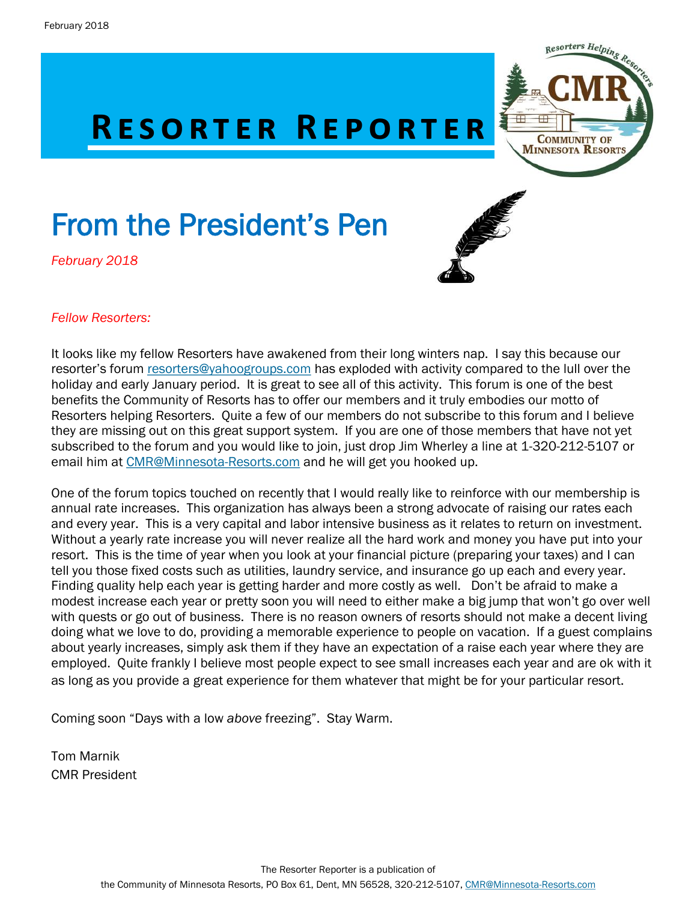# **RESORTER REPORTER**

# From the President's Pen

*February 2018*





#### *Fellow Resorters:*

It looks like my fellow Resorters have awakened from their long winters nap. I say this because our resorter's forum [resorters@yahoogroups.com](mailto:resorters@yahoogroups.com) has exploded with activity compared to the lull over the holiday and early January period. It is great to see all of this activity. This forum is one of the best benefits the Community of Resorts has to offer our members and it truly embodies our motto of Resorters helping Resorters. Quite a few of our members do not subscribe to this forum and I believe they are missing out on this great support system. If you are one of those members that have not yet subscribed to the forum and you would like to join, just drop Jim Wherley a line at 1-320-212-5107 or email him at [CMR@Minnesota-Resorts.com](mailto:CMR@Minnesota-Resorts.com) and he will get you hooked up.

One of the forum topics touched on recently that I would really like to reinforce with our membership is annual rate increases. This organization has always been a strong advocate of raising our rates each and every year. This is a very capital and labor intensive business as it relates to return on investment. Without a yearly rate increase you will never realize all the hard work and money you have put into your resort. This is the time of year when you look at your financial picture (preparing your taxes) and I can tell you those fixed costs such as utilities, laundry service, and insurance go up each and every year. Finding quality help each year is getting harder and more costly as well. Don't be afraid to make a modest increase each year or pretty soon you will need to either make a big jump that won't go over well with quests or go out of business. There is no reason owners of resorts should not make a decent living doing what we love to do, providing a memorable experience to people on vacation. If a guest complains about yearly increases, simply ask them if they have an expectation of a raise each year where they are employed. Quite frankly I believe most people expect to see small increases each year and are ok with it as long as you provide a great experience for them whatever that might be for your particular resort.

Coming soon "Days with a low *above* freezing". Stay Warm.

Tom Marnik CMR President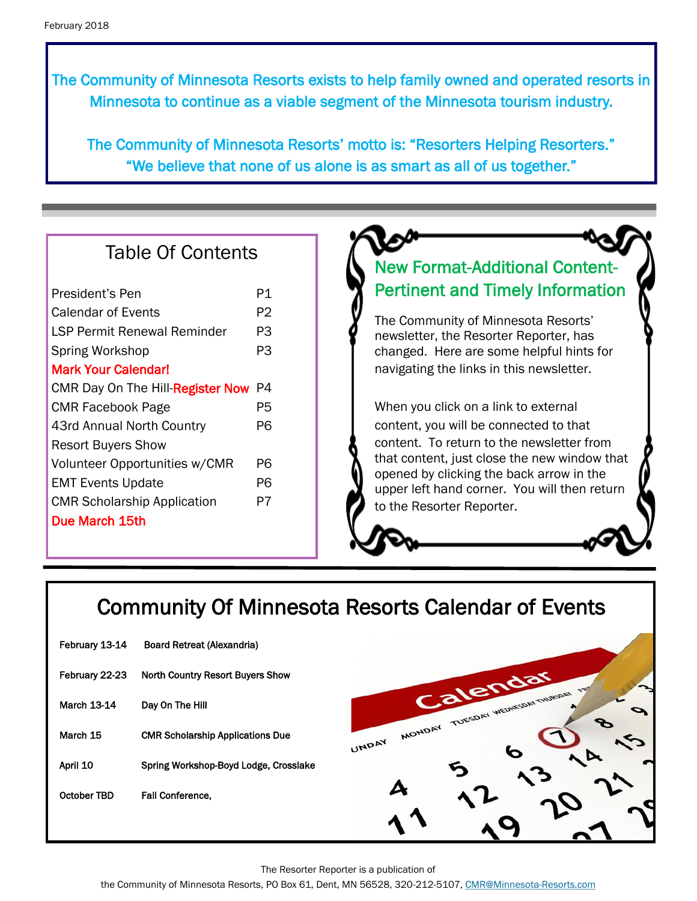The Community of Minnesota Resorts exists to help family owned and operated resorts in Minnesota to continue as a viable segment of the Minnesota tourism industry.

The Community of Minnesota Resorts' motto is: "Resorters Helping Resorters." "We believe that none of us alone is as smart as all of us together."

## Table Of Contents

| P1 |
|----|
| P2 |
| P3 |
| PЗ |
|    |
| P4 |
| P5 |
| P6 |
|    |
| P6 |
| P6 |
| P7 |
|    |
|    |

## New Format-Additional Content-Pertinent and Timely Information

The Community of Minnesota Resorts' newsletter, the Resorter Reporter, has changed. Here are some helpful hints for navigating the links in this newsletter.

When you click on a link to external content, you will be connected to that content. To return to the newsletter from that content, just close the new window that opened by clicking the back arrow in the upper left hand corner. You will then return to the Resorter Reporter.

## Community Of Minnesota Resorts Calendar of Events

| February 13-14 | <b>Board Retreat (Alexandria)</b>       |
|----------------|-----------------------------------------|
| February 22-23 | North Country Resort Buyers Show        |
| March 13-14    | Day On The Hill                         |
| March 15       | <b>CMR Scholarship Applications Due</b> |
| April 10       | Spring Workshop-Boyd Lodge, Crosslake   |
| October TBD    | <b>Fall Conference.</b>                 |
|                |                                         |



The Resorter Reporter is a publication of

the Community of Minnesota Resorts, PO Box 61, Dent, MN 56528, 320-212-5107, [CMR@Minnesota-Resorts.com](mailto:CMR@Minnesota-Resorts.com?subject=Community%20of%20Minnesota%20Resorts)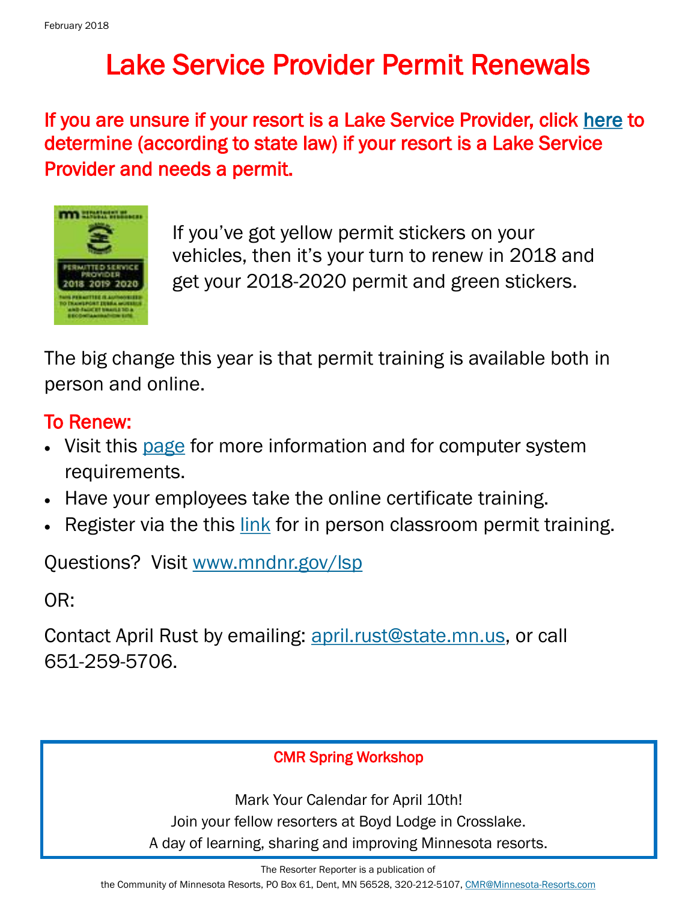## Lake Service Provider Permit Renewals

If you are unsure if your resort is a Lake Service Provider, click [here t](http://www.dnr.state.mn.us/lsp/lsp-business.html)o determine (according to state law) if your resort is a Lake Service Provider and needs a permit.



If you've got yellow permit stickers on your vehicles, then it's your turn to renew in 2018 and get your 2018-2020 permit and green stickers.

The big change this year is that permit training is available both in person and online.

## To Renew:

- Visit this [page](http://www.dnr.state.mn.us/lsp/mandatory.html) for more information and for computer system requirements.
- Have your employees take the online certificate training.
- Register via the this [link](http://www.dnr.state.mn.us/lsp/calendar/index.html) for in person classroom permit training.

Questions? Visit [www.mndnr.gov/lsp](http://www.mndnr.gov/lsp)

OR:

Contact April Rust by emailing: [april.rust@state.mn.us,](mailto:april.rust@state.mn.us?subject=LSP%20Training) or call 651-259-5706.

### CMR Spring Workshop

Mark Your Calendar for April 10th! Join your fellow resorters at Boyd Lodge in Crosslake. A day of learning, sharing and improving Minnesota resorts.

The Resorter Reporter is a publication of

the Community of Minnesota Resorts, PO Box 61, Dent, MN 56528, 320-212-5107, [CMR@Minnesota-Resorts.com](mailto:CMR@Minnesota-Resorts.com?subject=Community%20of%20Minnesota%20Resorts)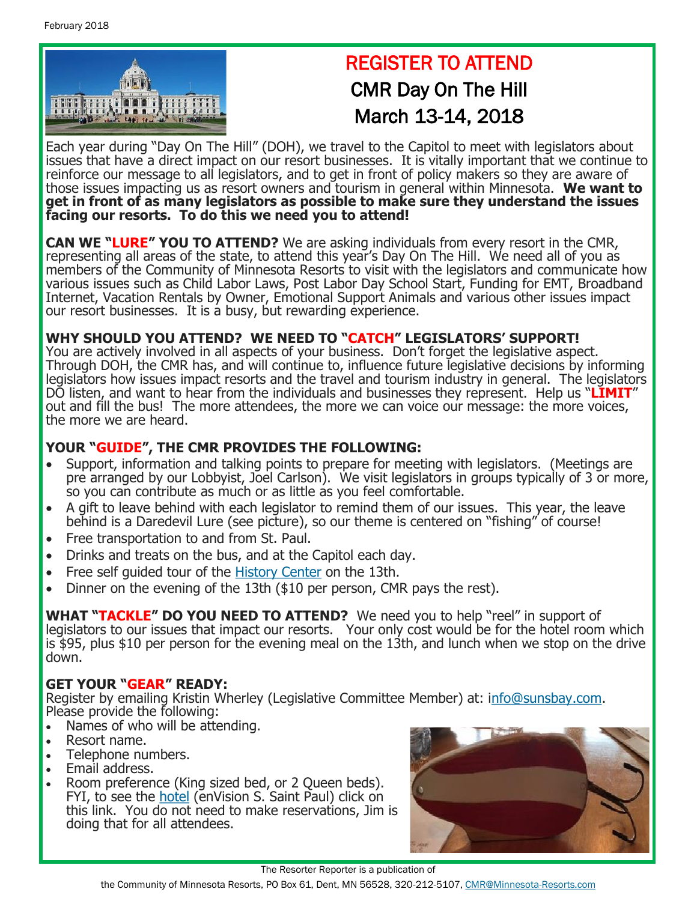

## REGISTER TO ATTEND CMR Day On The Hill March 13-14, 2018

Each year during "Day On The Hill" (DOH), we travel to the Capitol to meet with legislators about issues that have a direct impact on our resort businesses. It is vitally important that we continue to reinforce our message to all legislators, and to get in front of policy makers so they are aware of those issues impacting us as resort owners and tourism in general within Minnesota. **We want to get in front of as many legislators as possible to make sure they understand the issues facing our resorts. To do this we need you to attend!**

**CAN WE "LURE" YOU TO ATTEND?** We are asking individuals from every resort in the CMR, representing all areas of the state, to attend this year's Day On The Hill. We need all of you as members of the Community of Minnesota Resorts to visit with the legislators and communicate how various issues such as Child Labor Laws, Post Labor Day School Start, Funding for EMT, Broadband Internet, Vacation Rentals by Owner, Emotional Support Animals and various other issues impact our resort businesses. It is a busy, but rewarding experience.

#### **WHY SHOULD YOU ATTEND? WE NEED TO "CATCH" LEGISLATORS' SUPPORT!**

You are actively involved in all aspects of your business. Don't forget the legislative aspect. Through DOH, the CMR has, and will continue to, influence future legislative decisions by informing legislators how issues impact resorts and the travel and tourism industry in general. The legislators DO listen, and want to hear from the individuals and businesses they represent. Help us "**LIMIT**" out and fill the bus! The more attendees, the more we can voice our message: the more voices, the more we are heard.

#### **YOUR "GUIDE", THE CMR PROVIDES THE FOLLOWING:**

- Support, information and talking points to prepare for meeting with legislators. (Meetings are pre arranged by our Lobbyist, Joel Carlson). We visit legislators in groups typically of 3 or more, so you can contribute as much or as little as you feel comfortable.
- A gift to leave behind with each legislator to remind them of our issues. This year, the leave behind is a Daredevil Lure (see picture), so our theme is centered on "fishing" of course!
- Free transportation to and from St. Paul.
- Drinks and treats on the bus, and at the Capitol each day.
- Free self guided tour of the [History Center](http://www.minnesotahistorycenter.org/exhibits) on the 13th.
- Dinner on the evening of the 13th (\$10 per person, CMR pays the rest).

**WHAT "TACKLE" DO YOU NEED TO ATTEND?** We need you to help "reel" in support of legislators to our issues that impact our resorts. Your only cost would be for the hotel room which is \$95, plus \$10 per person for the evening meal on the 13th, and lunch when we stop on the drive down.

#### **GET YOUR "GEAR" READY:**

Register by emailing Kristin Wherley (Legislative Committee Member) at: i[nfo@sunsbay.com.](mailto:info@sunsbay.com?subject=Day%20On%20The%20Hill) Please provide the following:

- Names of who will be attending.
- Resort name.
- Telephone numbers.
- Email address.
- Room preference (King sized bed, or 2 Queen beds). FYI, to see the [hotel](https://www.choicehotels.com/minnesota/south-saint-paul/ascend-hotels/mn127) (enVision S. Saint Paul) click on this link. You do not need to make reservations, Jim is doing that for all attendees.



The Resorter Reporter is a publication of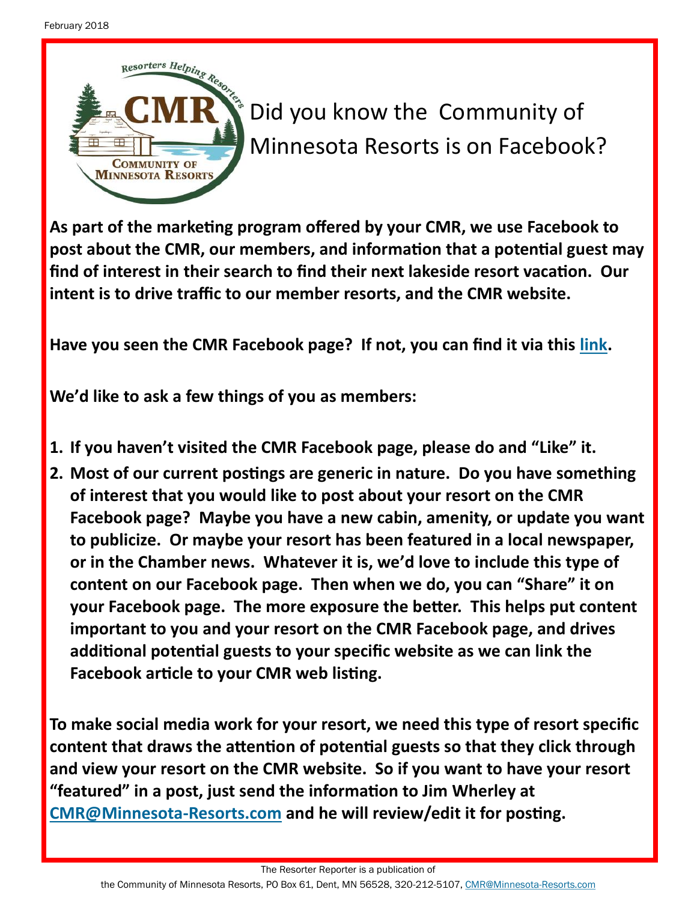

Did you know the Community of Minnesota Resorts is on Facebook?

**As part of the marketing program offered by your CMR, we use Facebook to post about the CMR, our members, and information that a potential guest may find of interest in their search to find their next lakeside resort vacation. Our intent is to drive traffic to our member resorts, and the CMR website.** 

**Have you seen the CMR Facebook page? If not, you can find it via this [link.](https://www.facebook.com/Mnresorts/?ref=bookmarks)**

**We'd like to ask a few things of you as members:**

- **1. If you haven't visited the CMR Facebook page, please do and "Like" it.**
- **2. Most of our current postings are generic in nature. Do you have something of interest that you would like to post about your resort on the CMR Facebook page? Maybe you have a new cabin, amenity, or update you want to publicize. Or maybe your resort has been featured in a local newspaper, or in the Chamber news. Whatever it is, we'd love to include this type of content on our Facebook page. Then when we do, you can "Share" it on your Facebook page. The more exposure the better. This helps put content important to you and your resort on the CMR Facebook page, and drives additional potential guests to your specific website as we can link the Facebook article to your CMR web listing.**

**To make social media work for your resort, we need this type of resort specific content that draws the attention of potential guests so that they click through and view your resort on the CMR website. So if you want to have your resort "featured" in a post, just send the information to Jim Wherley at [CMR@Minnesota](mailto:CMR@Minnesota-Resorts.com?subject=Facebook%20Post)-Resorts.com and he will review/edit it for posting.** 

The Resorter Reporter is a publication of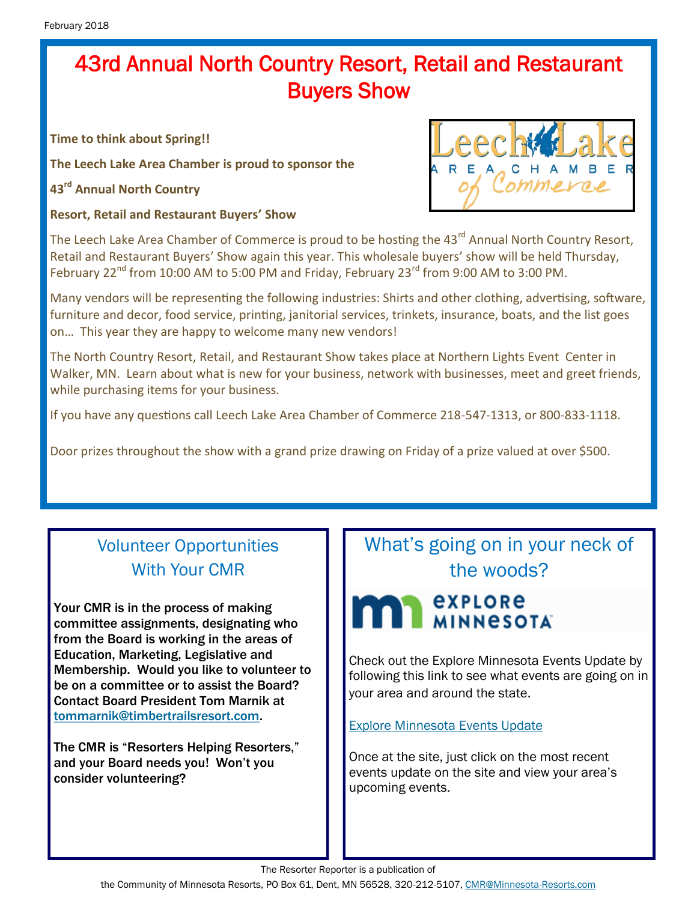## 43rd Annual North Country Resort, Retail and Restaurant Buyers Show

**Time to think about Spring!!**

**The Leech Lake Area Chamber is proud to sponsor the**

**43rd Annual North Country**

**Resort, Retail and Restaurant Buyers' Show**



The Leech Lake Area Chamber of Commerce is proud to be hosting the 43<sup>rd</sup> Annual North Country Resort, Retail and Restaurant Buyers' Show again this year. This wholesale buyers' show will be held Thursday, February 22<sup>nd</sup> from 10:00 AM to 5:00 PM and Friday, February 23<sup>rd</sup> from 9:00 AM to 3:00 PM.

Many vendors will be representing the following industries: Shirts and other clothing, advertising, software, furniture and decor, food service, printing, janitorial services, trinkets, insurance, boats, and the list goes on… This year they are happy to welcome many new vendors!

The North Country Resort, Retail, and Restaurant Show takes place at Northern Lights Event Center in Walker, MN. Learn about what is new for your business, network with businesses, meet and greet friends, while purchasing items for your business.

If you have any questions call Leech Lake Area Chamber of Commerce 218-547-1313, or 800-833-1118.

Door prizes throughout the show with a grand prize drawing on Friday of a prize valued at over \$500.

## Volunteer Opportunities With Your CMR

Your CMR is in the process of making committee assignments, designating who from the Board is working in the areas of Education, Marketing, Legislative and Membership. Would you like to volunteer to be on a committee or to assist the Board? Contact Board President Tom Marnik at [tommarnik@timbertrailsresort.com.](mailto:tommarnik@timbertrailsresort.com?subject=Assisting%20on%20a%20Board%20Committee)

The CMR is "Resorters Helping Resorters," and your Board needs you! Won't you consider volunteering?

## What's going on in your neck of the woods?

## **EXPLORE MINNESOTA**

Check out the Explore Minnesota Events Update by following this link to see what events are going on in your area and around the state.

[Explore Minnesota Events Update](http://www.exploreminnesota.com/newsletter-sign-up/reports/events-report/)

Once at the site, just click on the most recent events update on the site and view your area's upcoming events.

The Resorter Reporter is a publication of